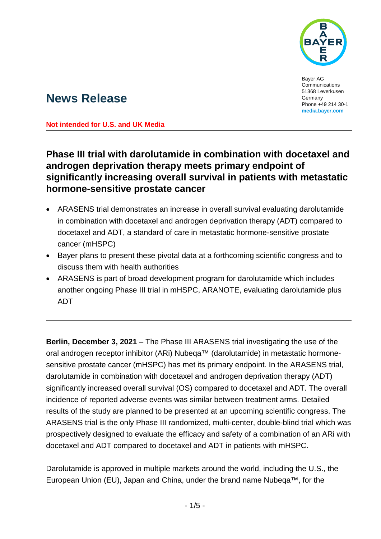

Bayer AG Communications 51368 Leverkusen Germany Phone +49 214 30-1 **[media.bayer.com](http://media.bayer.com/)**

# **News Release**

**Not intended for U.S. and UK Media**

## **Phase III trial with darolutamide in combination with docetaxel and androgen deprivation therapy meets primary endpoint of significantly increasing overall survival in patients with metastatic hormone-sensitive prostate cancer**

- ARASENS trial demonstrates an increase in overall survival evaluating darolutamide in combination with docetaxel and androgen deprivation therapy (ADT) compared to docetaxel and ADT, a standard of care in metastatic hormone-sensitive prostate cancer (mHSPC)
- Bayer plans to present these pivotal data at a forthcoming scientific congress and to discuss them with health authorities
- ARASENS is part of broad development program for darolutamide which includes another ongoing Phase III trial in mHSPC, ARANOTE, evaluating darolutamide plus ADT

**Berlin, December 3, 2021** – The Phase III ARASENS trial investigating the use of the oral androgen receptor inhibitor (ARi) Nubeqa™ (darolutamide) in metastatic hormonesensitive prostate cancer (mHSPC) has met its primary endpoint. In the ARASENS trial, darolutamide in combination with docetaxel and androgen deprivation therapy (ADT) significantly increased overall survival (OS) compared to docetaxel and ADT. The overall incidence of reported adverse events was similar between treatment arms. Detailed results of the study are planned to be presented at an upcoming scientific congress. The ARASENS trial is the only Phase III randomized, multi-center, double-blind trial which was prospectively designed to evaluate the efficacy and safety of a combination of an ARi with docetaxel and ADT compared to docetaxel and ADT in patients with mHSPC.

Darolutamide is approved in multiple markets around the world, including the U.S., the European Union (EU), Japan and China, under the brand name Nubeqa™, for the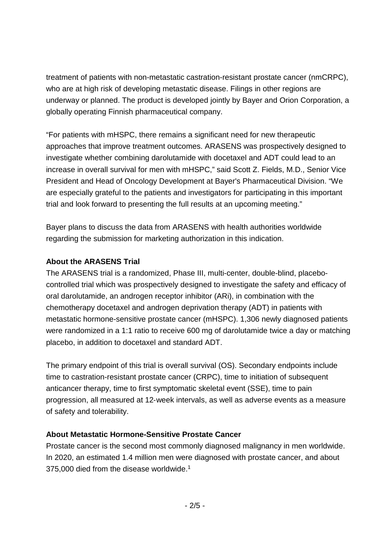treatment of patients with non-metastatic castration-resistant prostate cancer (nmCRPC), who are at high risk of developing metastatic disease. Filings in other regions are underway or planned. The product is developed jointly by Bayer and Orion Corporation, a globally operating Finnish pharmaceutical company.

"For patients with mHSPC, there remains a significant need for new therapeutic approaches that improve treatment outcomes. ARASENS was prospectively designed to investigate whether combining darolutamide with docetaxel and ADT could lead to an increase in overall survival for men with mHSPC," said Scott Z. Fields, M.D., Senior Vice President and Head of Oncology Development at Bayer's Pharmaceutical Division. "We are especially grateful to the patients and investigators for participating in this important trial and look forward to presenting the full results at an upcoming meeting."

Bayer plans to discuss the data from ARASENS with health authorities worldwide regarding the submission for marketing authorization in this indication.

### **About the ARASENS Trial**

The ARASENS trial is a randomized, Phase III, multi-center, double-blind, placebocontrolled trial which was prospectively designed to investigate the safety and efficacy of oral darolutamide, an androgen receptor inhibitor (ARi), in combination with the chemotherapy docetaxel and androgen deprivation therapy (ADT) in patients with metastatic hormone-sensitive prostate cancer (mHSPC). 1,306 newly diagnosed patients were randomized in a 1:1 ratio to receive 600 mg of darolutamide twice a day or matching placebo, in addition to docetaxel and standard ADT.

The primary endpoint of this trial is overall survival (OS). Secondary endpoints include time to castration-resistant prostate cancer (CRPC), time to initiation of subsequent anticancer therapy, time to first symptomatic skeletal event (SSE), time to pain progression, all measured at 12‐week intervals, as well as adverse events as a measure of safety and tolerability.

### **About Metastatic Hormone-Sensitive Prostate Cancer**

Prostate cancer is the second most commonly diagnosed malignancy in men worldwide. In 2020, an estimated 1.4 million men were diagnosed with prostate cancer, and about 375,000 died from the disease worldwide.<sup>1</sup>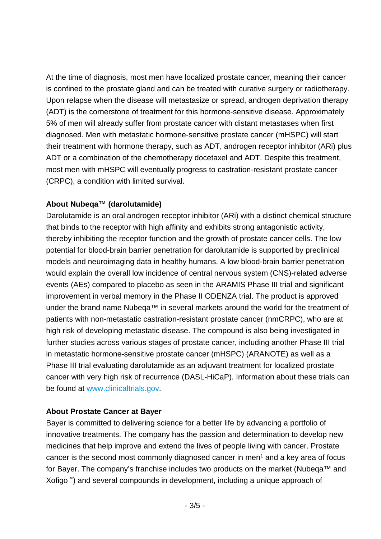At the time of diagnosis, most men have localized prostate cancer, meaning their cancer is confined to the prostate gland and can be treated with curative surgery or radiotherapy. Upon relapse when the disease will metastasize or spread, androgen deprivation therapy (ADT) is the cornerstone of treatment for this hormone-sensitive disease. Approximately 5% of men will already suffer from prostate cancer with distant metastases when first diagnosed. Men with metastatic hormone-sensitive prostate cancer (mHSPC) will start their treatment with hormone therapy, such as ADT, androgen receptor inhibitor (ARi) plus ADT or a combination of the chemotherapy docetaxel and ADT. Despite this treatment, most men with mHSPC will eventually progress to castration-resistant prostate cancer (CRPC), a condition with limited survival.

### **About Nubeqa™ (darolutamide)**

Darolutamide is an oral androgen receptor inhibitor (ARi) with a distinct chemical structure that binds to the receptor with high affinity and exhibits strong antagonistic activity, thereby inhibiting the receptor function and the growth of prostate cancer cells. The low potential for blood-brain barrier penetration for darolutamide is supported by preclinical models and neuroimaging data in healthy humans. A low blood-brain barrier penetration would explain the overall low incidence of central nervous system (CNS)-related adverse events (AEs) compared to placebo as seen in the ARAMIS Phase III trial and significant improvement in verbal memory in the Phase II ODENZA trial. The product is approved under the brand name Nubeqa™ in several markets around the world for the treatment of patients with non-metastatic castration-resistant prostate cancer (nmCRPC), who are at high risk of developing metastatic disease. The compound is also being investigated in further studies across various stages of prostate cancer, including another Phase III trial in metastatic hormone-sensitive prostate cancer (mHSPC) (ARANOTE) as well as a Phase III trial evaluating darolutamide as an adjuvant treatment for localized prostate cancer with very high risk of recurrence (DASL-HiCaP). Information about these trials can be found at [www.clinicaltrials.gov.](https://www.clinicaltrials.gov/)

#### **About Prostate Cancer at Bayer**

Bayer is committed to delivering science for a better life by advancing a portfolio of innovative treatments. The company has the passion and determination to develop new medicines that help improve and extend the lives of people living with cancer. Prostate cancer is the second most commonly diagnosed cancer in men<sup>1</sup> and a key area of focus for Bayer. The company's franchise includes two products on the market (Nubeqa™ and Xofigo™) and several compounds in development, including a unique approach of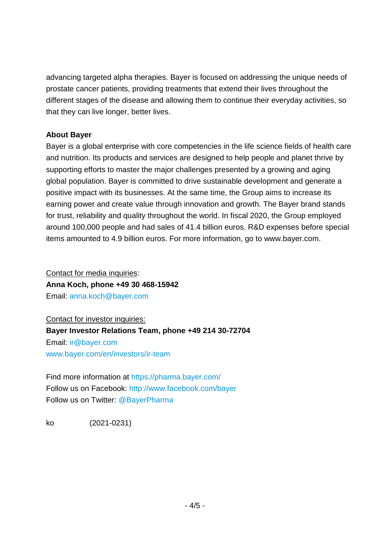advancing targeted alpha therapies. Bayer is focused on addressing the unique needs of prostate cancer patients, providing treatments that extend their lives throughout the different stages of the disease and allowing them to continue their everyday activities, so that they can live longer, better lives.

#### **About Bayer**

Bayer is a global enterprise with core competencies in the life science fields of health care and nutrition. Its products and services are designed to help people and planet thrive by supporting efforts to master the major challenges presented by a growing and aging global population. Bayer is committed to drive sustainable development and generate a positive impact with its businesses. At the same time, the Group aims to increase its earning power and create value through innovation and growth. The Bayer brand stands for trust, reliability and quality throughout the world. In fiscal 2020, the Group employed around 100,000 people and had sales of 41.4 billion euros. R&D expenses before special items amounted to 4.9 billion euros. For more information, go to [www.bayer.com.](http://www.bayer.com/)

Contact for media inquiries: **Anna Koch, phone +49 30 468-15942** Email: [anna.koch@bayer.com](mailto:anna.koch@bayer.com)

Contact for investor inquiries: **Bayer Investor Relations Team, phone +49 214 30-72704** Email: [ir@bayer.com](mailto:ir@bayer.com) [www.bayer.com/en/investors/ir-team](https://www.bayer.com/en/investors/ir-team)

Find more information at<https://pharma.bayer.com/> Follow us on Facebook:<http://www.facebook.com/bayer> Follow us on Twitter: [@BayerPharma](https://twitter.com/bayerpharma)

ko (2021-0231)